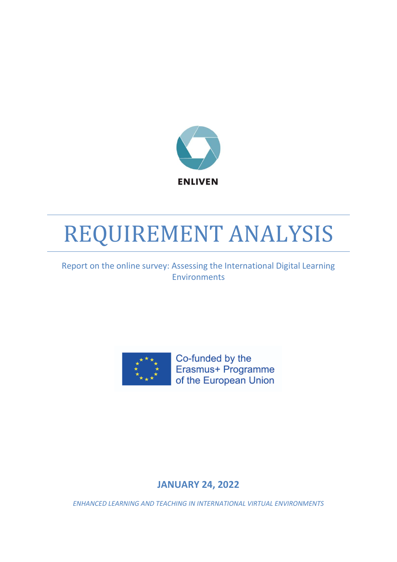

# REQUIREMENT ANALYSIS

# Report on the online survey: Assessing the International Digital Learning Environments



Co-funded by the Erasmus+ Programme of the European Union

# **JANUARY 24, 2022**

*ENHANCED LEARNING AND TEACHING IN INTERNATIONAL VIRTUAL ENVIRONMENTS*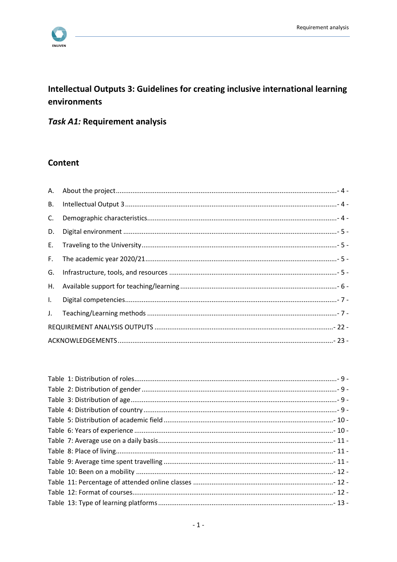

# Intellectual Outputs 3: Guidelines for creating inclusive international learning environments

# Task A1: Requirement analysis

### **Content**

| <b>B.</b>    |  |
|--------------|--|
| $C_{\cdot}$  |  |
| D.           |  |
|              |  |
| F.           |  |
| G.           |  |
| H.           |  |
| $\mathbf{L}$ |  |
|              |  |
|              |  |
|              |  |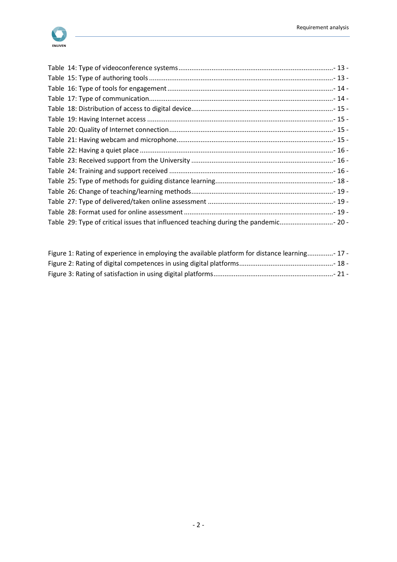

| Table 29: Type of critical issues that influenced teaching during the pandemic 20 - |  |
|-------------------------------------------------------------------------------------|--|

| Figure 1: Rating of experience in employing the available platform for distance learning- 17 - |  |
|------------------------------------------------------------------------------------------------|--|
|                                                                                                |  |
|                                                                                                |  |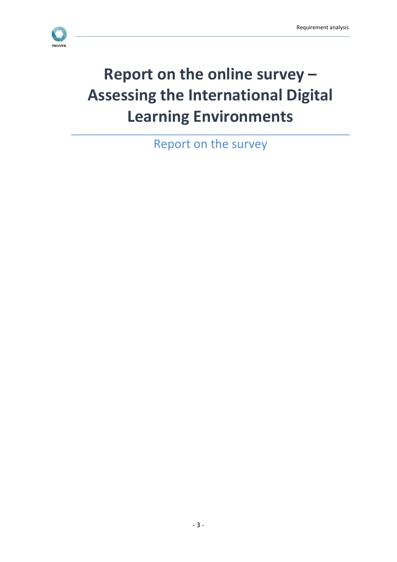

# **Report on the online survey – Assessing the International Digital Learning Environments**

Report on the survey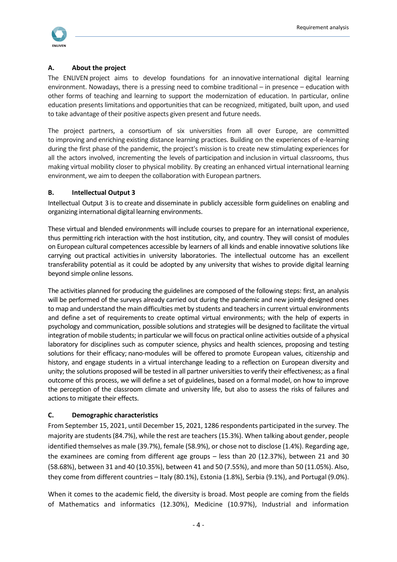

#### <span id="page-4-0"></span>**A. About the project**

The ENLIVEN project aims to develop foundations for an innovative international digital learning environment. Nowadays, there is a pressing need to combine traditional – in presence – education with other forms of teaching and learning to support the modernization of education. In particular, online education presentslimitations and opportunitiesthat can be recognized, mitigated, built upon, and used to take advantage of their positive aspects given present and future needs.

The project partners, a consortium of six universities from all over Europe, are committed to improving and enriching existing distance learning practices. Building on the experiences of e-learning during the first phase of the pandemic, the project's mission is to create new stimulating experiences for all the actors involved, incrementing the levels of participation and inclusion in virtual classrooms, thus making virtual mobility closer to physical mobility. By creating an enhanced virtual international learning environment, we aim to deepen the collaboration with European partners.

#### <span id="page-4-1"></span>**B. Intellectual Output 3**

Intellectual Output 3 is to create and disseminate in publicly accessible form guidelines on enabling and organizing international digital learning environments.

These virtual and blended environments will include courses to prepare for an international experience, thus permitting rich interaction with the host institution, city, and country. They will consist of modules on European cultural competences accessible by learners of all kinds and enable innovative solutions like carrying out practical activities in university laboratories. The intellectual outcome has an excellent transferability potential as it could be adopted by any university that wishes to provide digital learning beyond simple online lessons.

The activities planned for producing the guidelines are composed of the following steps: first, an analysis will be performed of the surveys already carried out during the pandemic and new jointly designed ones to map and understand the main difficulties met by students and teachers in current virtual environments and define a set of requirements to create optimal virtual environments; with the help of experts in psychology and communication, possible solutions and strategies will be designed to facilitate the virtual integration of mobile students; in particular we will focus on practical online activities outside of a physical laboratory for disciplines such as computer science, physics and health sciences, proposing and testing solutions for their efficacy; nano-modules will be offered to promote European values, citizenship and history, and engage students in a virtual interchange leading to a reflection on European diversity and unity; the solutions proposed will be tested in all partner universities to verify their effectiveness; as a final outcome of this process, we will define a set of guidelines, based on a formal model, on how to improve the perception of the classroom climate and university life, but also to assess the risks of failures and actions to mitigate their effects.

#### <span id="page-4-2"></span>**C. Demographic characteristics**

From September 15, 2021, until December 15, 2021, 1286 respondents participated in the survey. The majority are students (84.7%), while the rest are teachers (15.3%). When talking about gender, people identified themselves as male (39.7%), female (58.9%), or chose not to disclose (1.4%). Regarding age, the examinees are coming from different age groups – less than 20 (12.37%), between 21 and 30 (58.68%), between 31 and 40 (10.35%), between 41 and 50 (7.55%), and more than 50 (11.05%). Also, they come from different countries – Italy (80.1%), Estonia (1.8%), Serbia (9.1%), and Portugal (9.0%).

When it comes to the academic field, the diversity is broad. Most people are coming from the fields of Mathematics and informatics (12.30%), Medicine (10.97%), Industrial and information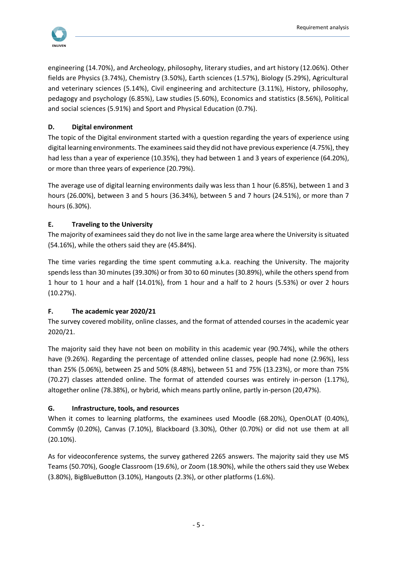

engineering (14.70%), and Archeology, philosophy, literary studies, and art history (12.06%). Other fields are Physics (3.74%), Chemistry (3.50%), Earth sciences (1.57%), Biology (5.29%), Agricultural and veterinary sciences (5.14%), Civil engineering and architecture (3.11%), History, philosophy, pedagogy and psychology (6.85%), Law studies (5.60%), Economics and statistics (8.56%), Political and social sciences (5.91%) and Sport and Physical Education (0.7%).

#### <span id="page-5-0"></span>**D. Digital environment**

The topic of the Digital environment started with a question regarding the years of experience using digital learning environments. The examinees said they did not have previous experience (4.75%), they had less than a year of experience (10.35%), they had between 1 and 3 years of experience (64.20%), or more than three years of experience (20.79%).

The average use of digital learning environments daily was less than 1 hour (6.85%), between 1 and 3 hours (26.00%), between 3 and 5 hours (36.34%), between 5 and 7 hours (24.51%), or more than 7 hours (6.30%).

#### <span id="page-5-1"></span>**E. Traveling to the University**

The majority of examinees said they do not live in the same large area where the University is situated (54.16%), while the others said they are (45.84%).

The time varies regarding the time spent commuting a.k.a. reaching the University. The majority spends less than 30 minutes (39.30%) or from 30 to 60 minutes (30.89%), while the others spend from 1 hour to 1 hour and a half (14.01%), from 1 hour and a half to 2 hours (5.53%) or over 2 hours (10.27%).

#### <span id="page-5-2"></span>**F. The academic year 2020/21**

The survey covered mobility, online classes, and the format of attended courses in the academic year 2020/21.

The majority said they have not been on mobility in this academic year (90.74%), while the others have (9.26%). Regarding the percentage of attended online classes, people had none (2.96%), less than 25% (5.06%), between 25 and 50% (8.48%), between 51 and 75% (13.23%), or more than 75% (70.27) classes attended online. The format of attended courses was entirely in-person (1.17%), altogether online (78.38%), or hybrid, which means partly online, partly in-person (20,47%).

#### <span id="page-5-3"></span>**G. Infrastructure, tools, and resources**

When it comes to learning platforms, the examinees used Moodle (68.20%), OpenOLAT (0.40%), CommSy (0.20%), Canvas (7.10%), Blackboard (3.30%), Other (0.70%) or did not use them at all (20.10%).

As for videoconference systems, the survey gathered 2265 answers. The majority said they use MS Teams (50.70%), Google Classroom (19.6%), or Zoom (18.90%), while the others said they use Webex (3.80%), BigBlueButton (3.10%), Hangouts (2.3%), or other platforms (1.6%).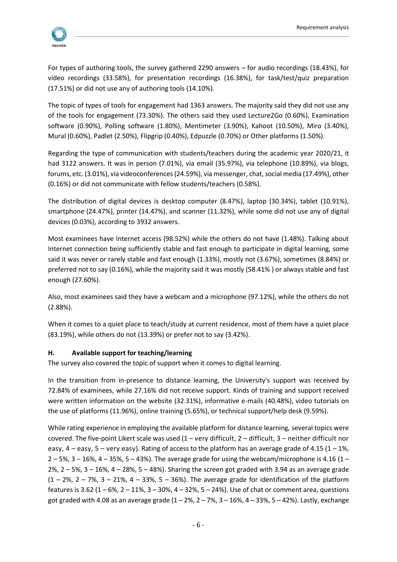

For types of authoring tools, the survey gathered 2290 answers – for audio recordings (18.43%), for video recordings (33.58%), for presentation recordings (16.38%), for task/test/quiz preparation (17.51%) or did not use any of authoring tools (14.10%).

The topic of types of tools for engagement had 1363 answers. The majority said they did not use any of the tools for engagement (73.30%). The others said they used Lecture2Go (0.60%), Examination software (0.90%), Polling software (1.80%), Mentimeter (3.90%), Kahoot (10.50%), Miro (3.40%), Mural (0.60%), Padlet (2.50%), Flipgrip (0.40%), Edpuzzle (0.70%) or Other platforms (1.50%).

Regarding the type of communication with students/teachers during the academic year 2020/21, it had 3122 answers. It was in person (7.01%), via email (35.97%), via telephone (10.89%), via blogs, forums, etc. (3.01%), via videoconferences (24.59%), via messenger, chat, social media (17.49%), other (0.16%) or did not communicate with fellow students/teachers (0.58%).

The distribution of digital devices is desktop computer (8.47%), laptop (30.34%), tablet (10.91%), smartphone (24.47%), printer (14.47%), and scanner (11.32%), while some did not use any of digital devices (0.03%), according to 3932 answers.

Most examinees have Internet access (98.52%) while the others do not have (1.48%). Talking about Internet connection being sufficiently stable and fast enough to participate in digital learning, some said it was never or rarely stable and fast enough (1.33%), mostly not (3.67%), sometimes (8.84%) or preferred not to say (0.16%), while the majority said it was mostly (58.41% ) or always stable and fast enough (27.60%).

Also, most examinees said they have a webcam and a microphone (97.12%), while the others do not (2.88%).

When it comes to a quiet place to teach/study at current residence, most of them have a quiet place (83.19%), while others do not (13.39%) or prefer not to say (3.42%).

#### <span id="page-6-0"></span>**H. Available support for teaching/learning**

The survey also covered the topic of support when it comes to digital learning.

In the transition from in-presence to distance learning, the University's support was received by 72.84% of examinees, while 27.16% did not receive support. Kinds of training and support received were written information on the website (32.31%), informative e-mails (40.48%), video tutorials on the use of platforms (11.96%), online training (5.65%), or technical support/help desk (9.59%).

While rating experience in employing the available platform for distance learning, several topics were covered. The five-point Likert scale was used  $(1 - \text{very difficult}, 2 - \text{difficult}, 3 - \text{neither difficult nor})$ easy,  $4$  – easy,  $5$  – very easy). Rating of access to the platform has an average grade of 4.15 (1 – 1%,  $2 - 5$ %,  $3 - 16$ %,  $4 - 35$ %,  $5 - 43$ %). The average grade for using the webcam/microphone is 4.16 (1 –  $2\%$ ,  $2 - 5\%$ ,  $3 - 16\%$ ,  $4 - 28\%$ ,  $5 - 48\%$ ). Sharing the screen got graded with 3.94 as an average grade  $(1 - 2\%, 2 - 7\%, 3 - 21\%, 4 - 33\%, 5 - 36\%).$  The average grade for identification of the platform features is 3.62 (1 – 6%, 2 – 11%, 3 – 30%, 4 – 32%, 5 – 24%). Use of chat or comment area, questions got graded with 4.08 as an average grade  $(1 - 2\%, 2 - 7\%, 3 - 16\%, 4 - 33\%, 5 - 42\%).$  Lastly, exchange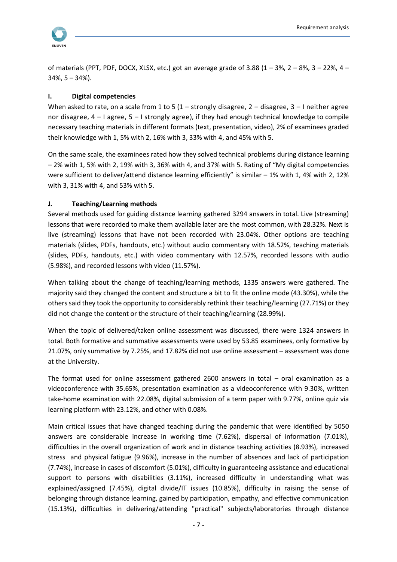

of materials (PPT, PDF, DOCX, XLSX, etc.) got an average grade of 3.88  $(1 - 3\%, 2 - 8\%, 3 - 22\%, 4 34\%, 5 - 34\%$ ).

#### <span id="page-7-0"></span>**I. Digital competencies**

When asked to rate, on a scale from 1 to 5 (1 – strongly disagree, 2 – disagree, 3 – I neither agree nor disagree,  $4 - 1$  agree,  $5 - 1$  strongly agree), if they had enough technical knowledge to compile necessary teaching materials in different formats (text, presentation, video), 2% of examinees graded their knowledge with 1, 5% with 2, 16% with 3, 33% with 4, and 45% with 5.

On the same scale, the examinees rated how they solved technical problems during distance learning – 2% with 1, 5% with 2, 19% with 3, 36% with 4, and 37% with 5. Rating of "My digital competencies were sufficient to deliver/attend distance learning efficiently" is similar – 1% with 1, 4% with 2, 12% with 3, 31% with 4, and 53% with 5.

#### <span id="page-7-1"></span>**J. Teaching/Learning methods**

Several methods used for guiding distance learning gathered 3294 answers in total. Live (streaming) lessons that were recorded to make them available later are the most common, with 28.32%. Next is live (streaming) lessons that have not been recorded with 23.04%. Other options are teaching materials (slides, PDFs, handouts, etc.) without audio commentary with 18.52%, teaching materials (slides, PDFs, handouts, etc.) with video commentary with 12.57%, recorded lessons with audio (5.98%), and recorded lessons with video (11.57%).

When talking about the change of teaching/learning methods, 1335 answers were gathered. The majority said they changed the content and structure a bit to fit the online mode (43.30%), while the others said they took the opportunity to considerably rethink their teaching/learning (27.71%) or they did not change the content or the structure of their teaching/learning (28.99%).

When the topic of delivered/taken online assessment was discussed, there were 1324 answers in total. Both formative and summative assessments were used by 53.85 examinees, only formative by 21.07%, only summative by 7.25%, and 17.82% did not use online assessment – assessment was done at the University.

The format used for online assessment gathered 2600 answers in total – oral examination as a videoconference with 35.65%, presentation examination as a videoconference with 9.30%, written take-home examination with 22.08%, digital submission of a term paper with 9.77%, online quiz via learning platform with 23.12%, and other with 0.08%.

Main critical issues that have changed teaching during the pandemic that were identified by 5050 answers are considerable increase in working time (7.62%), dispersal of information (7.01%), difficulties in the overall organization of work and in distance teaching activities (8.93%), increased stress and physical fatigue (9.96%), increase in the number of absences and lack of participation (7.74%), increase in cases of discomfort (5.01%), difficulty in guaranteeing assistance and educational support to persons with disabilities (3.11%), increased difficulty in understanding what was explained/assigned (7.45%), digital divide/IT issues (10.85%), difficulty in raising the sense of belonging through distance learning, gained by participation, empathy, and effective communication (15.13%), difficulties in delivering/attending "practical" subjects/laboratories through distance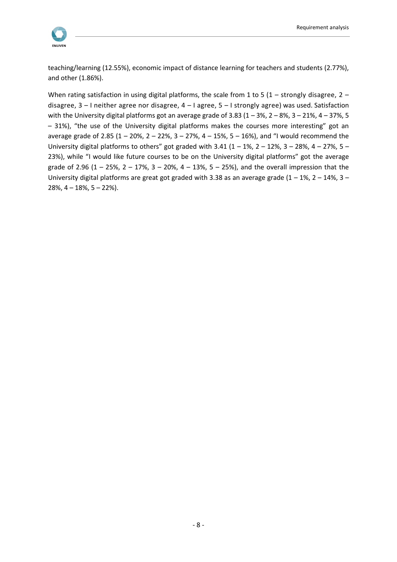teaching/learning (12.55%), economic impact of distance learning for teachers and students (2.77%), and other (1.86%).

When rating satisfaction in using digital platforms, the scale from 1 to 5 (1 – strongly disagree, 2 – disagree, 3 – I neither agree nor disagree, 4 – I agree, 5 – I strongly agree) was used. Satisfaction with the University digital platforms got an average grade of 3.83 ( $1 - 3\%$ ,  $2 - 8\%$ ,  $3 - 21\%$ ,  $4 - 37\%$ ,  $5$ – 31%), "the use of the University digital platforms makes the courses more interesting" got an average grade of 2.85 (1 – 20%, 2 – 22%, 3 – 27%, 4 – 15%, 5 – 16%), and "I would recommend the University digital platforms to others" got graded with 3.41 (1 – 1%, 2 – 12%, 3 – 28%, 4 – 27%, 5 – 23%), while "I would like future courses to be on the University digital platforms" got the average grade of 2.96 (1 – 25%, 2 – 17%, 3 – 20%, 4 – 13%, 5 – 25%), and the overall impression that the University digital platforms are great got graded with 3.38 as an average grade (1 – 1%, 2 – 14%, 3 –  $28\%$ ,  $4 - 18\%$ ,  $5 - 22\%$ ).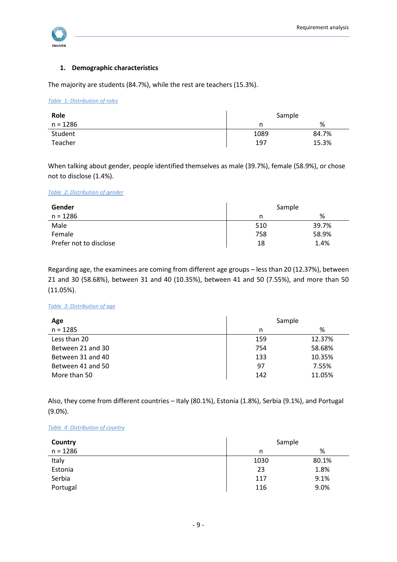

#### **1. Demographic characteristics**

The majority are students (84.7%), while the rest are teachers (15.3%).

#### <span id="page-9-0"></span>*Table 1: Distribution of roles*

| Role     | Sample |       |
|----------|--------|-------|
| n = 1286 |        | %     |
| Student  | 1089   | 84.7% |
| Teacher  | 197    | 15.3% |

When talking about gender, people identified themselves as male (39.7%), female (58.9%), or chose not to disclose (1.4%).

#### <span id="page-9-1"></span>*Table 2: Distribution of gender*

| Gender                 | Sample |       |
|------------------------|--------|-------|
| $n = 1286$             |        | %     |
| Male                   | 510    | 39.7% |
| Female                 | 758    | 58.9% |
| Prefer not to disclose | 18     | 1.4%  |

Regarding age, the examinees are coming from different age groups – less than 20 (12.37%), between 21 and 30 (58.68%), between 31 and 40 (10.35%), between 41 and 50 (7.55%), and more than 50 (11.05%).

#### <span id="page-9-2"></span>*Table 3: Distribution of age*

| Age               | Sample |        |
|-------------------|--------|--------|
| $n = 1285$        | n      | %      |
| Less than 20      | 159    | 12.37% |
| Between 21 and 30 | 754    | 58.68% |
| Between 31 and 40 | 133    | 10.35% |
| Between 41 and 50 | 97     | 7.55%  |
| More than 50      | 142    | 11.05% |

Also, they come from different countries – Italy (80.1%), Estonia (1.8%), Serbia (9.1%), and Portugal (9.0%).

#### <span id="page-9-3"></span>*Table 4: Distribution of country*

| Country    | Sample |       |
|------------|--------|-------|
| $n = 1286$ | n      | %     |
| Italy      | 1030   | 80.1% |
| Estonia    | 23     | 1.8%  |
| Serbia     | 117    | 9.1%  |
| Portugal   | 116    | 9.0%  |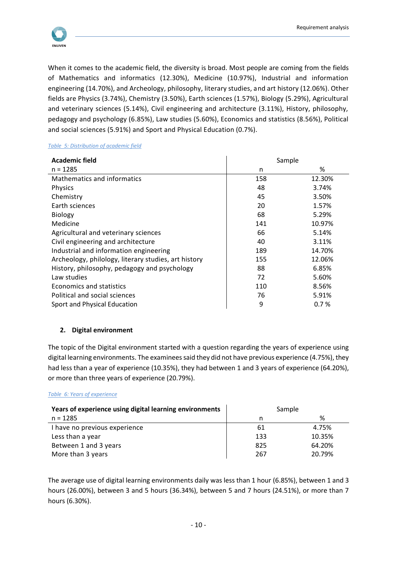

When it comes to the academic field, the diversity is broad. Most people are coming from the fields of Mathematics and informatics (12.30%), Medicine (10.97%), Industrial and information engineering (14.70%), and Archeology, philosophy, literary studies, and art history (12.06%). Other fields are Physics (3.74%), Chemistry (3.50%), Earth sciences (1.57%), Biology (5.29%), Agricultural and veterinary sciences (5.14%), Civil engineering and architecture (3.11%), History, philosophy, pedagogy and psychology (6.85%), Law studies (5.60%), Economics and statistics (8.56%), Political and social sciences (5.91%) and Sport and Physical Education (0.7%).

#### <span id="page-10-0"></span>*Table 5: Distribution of academic field*

| <b>Academic field</b>                                | Sample |        |
|------------------------------------------------------|--------|--------|
| $n = 1285$                                           | n      | %      |
| Mathematics and informatics                          | 158    | 12.30% |
| Physics                                              | 48     | 3.74%  |
| Chemistry                                            | 45     | 3.50%  |
| Earth sciences                                       | 20     | 1.57%  |
| <b>Biology</b>                                       | 68     | 5.29%  |
| Medicine                                             | 141    | 10.97% |
| Agricultural and veterinary sciences                 | 66     | 5.14%  |
| Civil engineering and architecture                   | 40     | 3.11%  |
| Industrial and information engineering               | 189    | 14.70% |
| Archeology, philology, literary studies, art history | 155    | 12.06% |
| History, philosophy, pedagogy and psychology         | 88     | 6.85%  |
| Law studies                                          | 72     | 5.60%  |
| Economics and statistics                             | 110    | 8.56%  |
| Political and social sciences                        | 76     | 5.91%  |
| Sport and Physical Education                         | 9      | 0.7%   |

#### **2. Digital environment**

The topic of the Digital environment started with a question regarding the years of experience using digital learning environments. The examinees said they did not have previous experience (4.75%), they had less than a year of experience (10.35%), they had between 1 and 3 years of experience (64.20%), or more than three years of experience (20.79%).

#### <span id="page-10-1"></span>*Table 6: Years of experience*

| Years of experience using digital learning environments | Sample |        |
|---------------------------------------------------------|--------|--------|
| $n = 1285$                                              |        | %      |
| I have no previous experience                           | 61     | 4.75%  |
| Less than a year                                        | 133    | 10.35% |
| Between 1 and 3 years                                   | 825    | 64.20% |
| More than 3 years                                       | 267    | 20.79% |

The average use of digital learning environments daily was less than 1 hour (6.85%), between 1 and 3 hours (26.00%), between 3 and 5 hours (36.34%), between 5 and 7 hours (24.51%), or more than 7 hours (6.30%).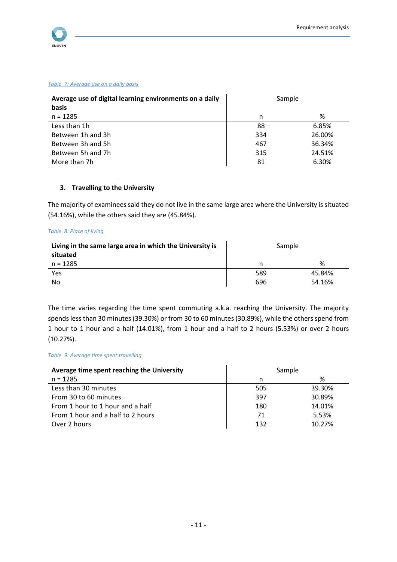

#### <span id="page-11-0"></span>*Table 7: Average use on a daily basis*

| Average use of digital learning environments on a daily<br>basis | Sample |        |
|------------------------------------------------------------------|--------|--------|
| $n = 1285$                                                       | n      | %      |
| Less than 1h                                                     | 88     | 6.85%  |
| Between 1h and 3h                                                | 334    | 26.00% |
| Between 3h and 5h                                                | 467    | 36.34% |
| Between 5h and 7h                                                | 315    | 24.51% |
| More than 7h                                                     | 81     | 6.30%  |

#### **3. Travelling to the University**

The majority of examinees said they do not live in the same large area where the University is situated (54.16%), while the others said they are (45.84%).

#### <span id="page-11-1"></span>*Table 8: Place of living*

| Living in the same large area in which the University is<br>situated | Sample |        |
|----------------------------------------------------------------------|--------|--------|
| $n = 1285$                                                           | n      | %      |
| Yes                                                                  | 589    | 45.84% |
| No                                                                   | 696    | 54.16% |

The time varies regarding the time spent commuting a.k.a. reaching the University. The majority spends less than 30 minutes (39.30%) or from 30 to 60 minutes (30.89%), while the others spend from 1 hour to 1 hour and a half (14.01%), from 1 hour and a half to 2 hours (5.53%) or over 2 hours (10.27%).

#### <span id="page-11-2"></span>*Table 9: Average time spent travelling*

| Average time spent reaching the University | Sample |        |
|--------------------------------------------|--------|--------|
| $n = 1285$                                 | n      | %      |
| Less than 30 minutes                       | 505    | 39.30% |
| From 30 to 60 minutes                      | 397    | 30.89% |
| From 1 hour to 1 hour and a half           | 180    | 14.01% |
| From 1 hour and a half to 2 hours          | 71     | 5.53%  |
| Over 2 hours                               | 132    | 10.27% |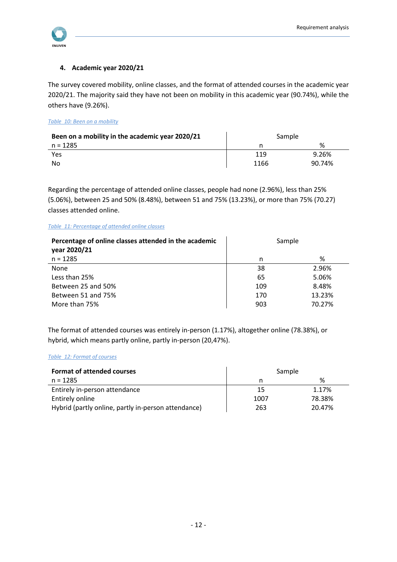

#### **4. Academic year 2020/21**

The survey covered mobility, online classes, and the format of attended courses in the academic year 2020/21. The majority said they have not been on mobility in this academic year (90.74%), while the others have (9.26%).

<span id="page-12-0"></span>*Table 10: Been on a mobility*

| Been on a mobility in the academic year 2020/21 | Sample |        |
|-------------------------------------------------|--------|--------|
| n = 1285                                        |        | %      |
| Yes                                             | 119    | 9.26%  |
| No                                              | 1166   | 90.74% |

Regarding the percentage of attended online classes, people had none (2.96%), less than 25% (5.06%), between 25 and 50% (8.48%), between 51 and 75% (13.23%), or more than 75% (70.27) classes attended online.

#### <span id="page-12-1"></span>*Table 11: Percentage of attended online classes*

| Percentage of online classes attended in the academic<br>year 2020/21 | Sample |        |
|-----------------------------------------------------------------------|--------|--------|
| $n = 1285$                                                            | n      | %      |
| <b>None</b>                                                           | 38     | 2.96%  |
| Less than 25%                                                         | 65     | 5.06%  |
| Between 25 and 50%                                                    | 109    | 8.48%  |
| Between 51 and 75%                                                    | 170    | 13.23% |
| More than 75%                                                         | 903    | 70.27% |

The format of attended courses was entirely in-person (1.17%), altogether online (78.38%), or hybrid, which means partly online, partly in-person (20,47%).

#### <span id="page-12-2"></span>*Table 12: Format of courses*

| <b>Format of attended courses</b>                   | Sample |        |
|-----------------------------------------------------|--------|--------|
| $n = 1285$                                          |        | %      |
| Entirely in-person attendance                       | 15     | 1.17%  |
| Entirely online                                     | 1007   | 78.38% |
| Hybrid (partly online, partly in-person attendance) | 263    | 20.47% |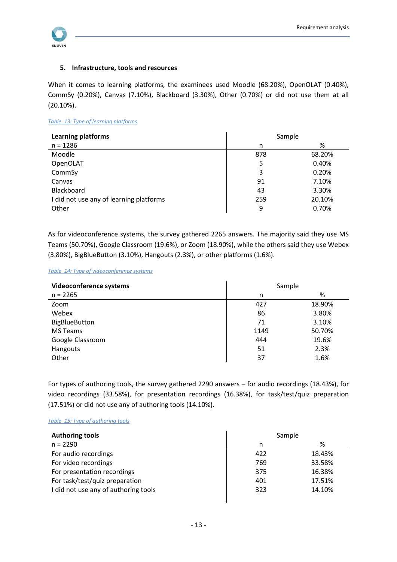

#### **5. Infrastructure, tools and resources**

When it comes to learning platforms, the examinees used Moodle (68.20%), OpenOLAT (0.40%), CommSy (0.20%), Canvas (7.10%), Blackboard (3.30%), Other (0.70%) or did not use them at all (20.10%).

#### <span id="page-13-0"></span>*Table 13: Type of learning platforms*

| <b>Learning platforms</b>               | Sample |        |
|-----------------------------------------|--------|--------|
| $n = 1286$                              | n      | %      |
| Moodle                                  | 878    | 68.20% |
| OpenOLAT                                | 5      | 0.40%  |
| CommSy                                  | 3      | 0.20%  |
| Canvas                                  | 91     | 7.10%  |
| Blackboard                              | 43     | 3.30%  |
| I did not use any of learning platforms | 259    | 20.10% |
| Other                                   | 9      | 0.70%  |

As for videoconference systems, the survey gathered 2265 answers. The majority said they use MS Teams (50.70%), Google Classroom (19.6%), or Zoom (18.90%), while the others said they use Webex (3.80%), BigBlueButton (3.10%), Hangouts (2.3%), or other platforms (1.6%).

#### <span id="page-13-1"></span>*Table 14: Type of videoconference systems*

| Videoconference systems | Sample |        |
|-------------------------|--------|--------|
| $n = 2265$              | n      | %      |
| Zoom                    | 427    | 18.90% |
| Webex                   | 86     | 3.80%  |
| <b>BigBlueButton</b>    | 71     | 3.10%  |
| <b>MS Teams</b>         | 1149   | 50.70% |
| Google Classroom        | 444    | 19.6%  |
| Hangouts                | 51     | 2.3%   |
| Other                   | 37     | 1.6%   |

For types of authoring tools, the survey gathered 2290 answers – for audio recordings (18.43%), for video recordings (33.58%), for presentation recordings (16.38%), for task/test/quiz preparation (17.51%) or did not use any of authoring tools (14.10%).

#### <span id="page-13-2"></span>*Table 15: Type of authoring tools*

| <b>Authoring tools</b>               | Sample |        |
|--------------------------------------|--------|--------|
| $n = 2290$                           | n      | %      |
| For audio recordings                 | 422    | 18.43% |
| For video recordings                 | 769    | 33.58% |
| For presentation recordings          | 375    | 16.38% |
| For task/test/quiz preparation       | 401    | 17.51% |
| I did not use any of authoring tools | 323    | 14.10% |
|                                      |        |        |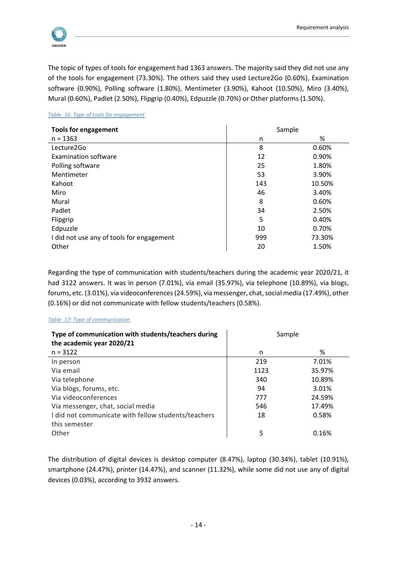

The topic of types of tools for engagement had 1363 answers. The majority said they did not use any of the tools for engagement (73.30%). The others said they used Lecture2Go (0.60%), Examination software (0.90%), Polling software (1.80%), Mentimeter (3.90%), Kahoot (10.50%), Miro (3.40%), Mural (0.60%), Padlet (2.50%), Flipgrip (0.40%), Edpuzzle (0.70%) or Other platforms (1.50%).

#### <span id="page-14-0"></span>*Table 16: Type of tools for engagement*

| <b>Tools for engagement</b>               | Sample |        |
|-------------------------------------------|--------|--------|
| $n = 1363$                                | n      | %      |
| Lecture2Go                                | 8      | 0.60%  |
| Examination software                      | 12     | 0.90%  |
| Polling software                          | 25     | 1.80%  |
| Mentimeter                                | 53     | 3.90%  |
| Kahoot                                    | 143    | 10.50% |
| Miro                                      | 46     | 3.40%  |
| Mural                                     | 8      | 0.60%  |
| Padlet                                    | 34     | 2.50%  |
| Flipgrip                                  | 5      | 0.40%  |
| Edpuzzle                                  | 10     | 0.70%  |
| I did not use any of tools for engagement | 999    | 73.30% |
| Other                                     | 20     | 1.50%  |

Regarding the type of communication with students/teachers during the academic year 2020/21, it had 3122 answers. It was in person (7.01%), via email (35.97%), via telephone (10.89%), via blogs, forums, etc. (3.01%), via videoconferences (24.59%), via messenger, chat, social media (17.49%), other (0.16%) or did not communicate with fellow students/teachers (0.58%).

#### <span id="page-14-1"></span>*Table 17: Type of communication*

| Type of communication with students/teachers during<br>the academic year 2020/21 | Sample |        |
|----------------------------------------------------------------------------------|--------|--------|
| $n = 3122$                                                                       | n      | %      |
| In person                                                                        | 219    | 7.01%  |
| Via email                                                                        | 1123   | 35.97% |
| Via telephone                                                                    | 340    | 10.89% |
| Via blogs, forums, etc.                                                          | 94     | 3.01%  |
| Via videoconferences                                                             | 777    | 24.59% |
| Via messenger, chat, social media                                                | 546    | 17.49% |
| I did not communicate with fellow students/teachers                              | 18     | 0.58%  |
| this semester                                                                    |        |        |
| Other                                                                            | 5      | 0.16%  |

The distribution of digital devices is desktop computer (8.47%), laptop (30.34%), tablet (10.91%), smartphone (24.47%), printer (14.47%), and scanner (11.32%), while some did not use any of digital devices (0.03%), according to 3932 answers.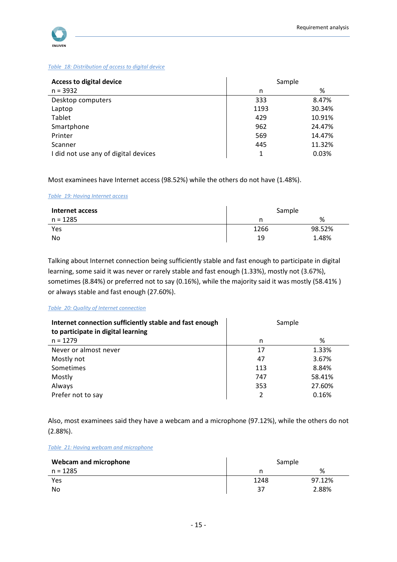

#### <span id="page-15-0"></span>*Table 18: Distribution of access to digital device*

| <b>Access to digital device</b>      | Sample |        |
|--------------------------------------|--------|--------|
| $n = 3932$                           | n      | %      |
| Desktop computers                    | 333    | 8.47%  |
| Laptop                               | 1193   | 30.34% |
| Tablet                               | 429    | 10.91% |
| Smartphone                           | 962    | 24.47% |
| Printer                              | 569    | 14.47% |
| Scanner                              | 445    | 11.32% |
| I did not use any of digital devices |        | 0.03%  |

Most examinees have Internet access (98.52%) while the others do not have (1.48%).

#### <span id="page-15-1"></span>*Table 19: Having Internet access*

| Internet access | Sample |        |
|-----------------|--------|--------|
| n = 1285        |        | %      |
| Yes             | 1266   | 98.52% |
| No              | 19     | 1.48%  |

Talking about Internet connection being sufficiently stable and fast enough to participate in digital learning, some said it was never or rarely stable and fast enough (1.33%), mostly not (3.67%), sometimes (8.84%) or preferred not to say (0.16%), while the majority said it was mostly (58.41% ) or always stable and fast enough (27.60%).

#### <span id="page-15-2"></span>*Table 20: Quality of Internet connection*

| Internet connection sufficiently stable and fast enough<br>to participate in digital learning | Sample |        |
|-----------------------------------------------------------------------------------------------|--------|--------|
| $n = 1279$                                                                                    | n      | %      |
| Never or almost never                                                                         | 17     | 1.33%  |
| Mostly not                                                                                    | 47     | 3.67%  |
| Sometimes                                                                                     | 113    | 8.84%  |
| Mostly                                                                                        | 747    | 58.41% |
| Always                                                                                        | 353    | 27.60% |
| Prefer not to say                                                                             | 2      | 0.16%  |

Also, most examinees said they have a webcam and a microphone (97.12%), while the others do not (2.88%).

#### <span id="page-15-3"></span>*Table 21: Having webcam and microphone*

| <b>Webcam and microphone</b> | Sample |        |
|------------------------------|--------|--------|
| n = 1285                     |        | %      |
| Yes                          | 1248   | 97.12% |
| No                           | 37     | 2.88%  |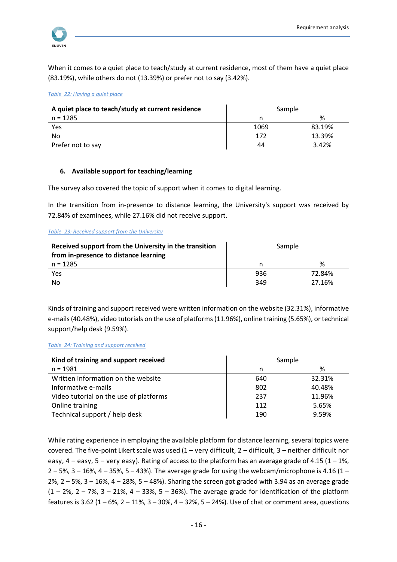

When it comes to a quiet place to teach/study at current residence, most of them have a quiet place (83.19%), while others do not (13.39%) or prefer not to say (3.42%).

<span id="page-16-0"></span>*Table 22: Having a quiet place*

| A quiet place to teach/study at current residence | Sample |        |
|---------------------------------------------------|--------|--------|
| $n = 1285$                                        |        | ℅      |
| Yes                                               | 1069   | 83.19% |
| No                                                | 172    | 13.39% |
| Prefer not to say                                 | 44     | 3.42%  |

#### **6. Available support for teaching/learning**

The survey also covered the topic of support when it comes to digital learning.

In the transition from in-presence to distance learning, the University's support was received by 72.84% of examinees, while 27.16% did not receive support.

#### <span id="page-16-1"></span>*Table 23: Received support from the University*

| Received support from the University in the transition<br>from in-presence to distance learning | Sample |        |
|-------------------------------------------------------------------------------------------------|--------|--------|
| n = 1285                                                                                        | n      | %      |
| Yes                                                                                             | 936    | 72.84% |
| No.                                                                                             | 349    | 27.16% |

Kinds of training and support received were written information on the website (32.31%), informative e-mails (40.48%), video tutorials on the use of platforms (11.96%), online training (5.65%), or technical support/help desk (9.59%).

#### <span id="page-16-2"></span>*Table 24: Training and support received*

| Kind of training and support received  | Sample |        |
|----------------------------------------|--------|--------|
| $n = 1981$                             | n      | %      |
| Written information on the website     | 640    | 32.31% |
| Informative e-mails                    | 802    | 40.48% |
| Video tutorial on the use of platforms | 237    | 11.96% |
| Online training                        | 112    | 5.65%  |
| Technical support / help desk          | 190    | 9.59%  |

While rating experience in employing the available platform for distance learning, several topics were covered. The five-point Likert scale was used  $(1 - \text{very difficult}, 2 - \text{difficult}, 3 - \text{neither difficult nor})$ easy,  $4$  – easy,  $5$  – very easy). Rating of access to the platform has an average grade of 4.15 (1 – 1%,  $2 - 5%$ , 3 – 16%, 4 – 35%, 5 – 43%). The average grade for using the webcam/microphone is 4.16 (1 – 2%,  $2 - 5$ %,  $3 - 16$ %,  $4 - 28$ %,  $5 - 48$ %). Sharing the screen got graded with 3.94 as an average grade  $(1 - 2\%, 2 - 7\%, 3 - 21\%, 4 - 33\%, 5 - 36\%).$  The average grade for identification of the platform features is 3.62 (1 – 6%, 2 – 11%, 3 – 30%, 4 – 32%, 5 – 24%). Use of chat or comment area, questions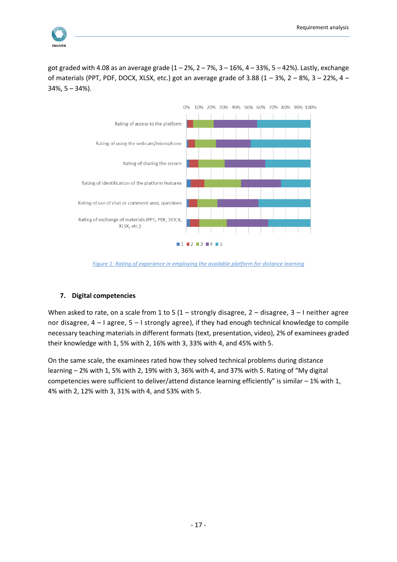

got graded with 4.08 as an average grade  $(1 - 2\%, 2 - 7\%, 3 - 16\%, 4 - 33\%, 5 - 42\%).$  Lastly, exchange of materials (PPT, PDF, DOCX, XLSX, etc.) got an average grade of 3.88  $(1 - 3\%, 2 - 8\%, 3 - 22\%, 4 -$ 34%, 5 – 34%).



*Figure 1: Rating of experience in employing the available platform for distance learning*

#### <span id="page-17-0"></span>**7. Digital competencies**

When asked to rate, on a scale from 1 to 5 (1 – strongly disagree, 2 – disagree, 3 – I neither agree nor disagree, 4 – I agree, 5 – I strongly agree), if they had enough technical knowledge to compile necessary teaching materials in different formats (text, presentation, video), 2% of examinees graded their knowledge with 1, 5% with 2, 16% with 3, 33% with 4, and 45% with 5.

On the same scale, the examinees rated how they solved technical problems during distance learning – 2% with 1, 5% with 2, 19% with 3, 36% with 4, and 37% with 5. Rating of "My digital competencies were sufficient to deliver/attend distance learning efficiently" is similar – 1% with 1, 4% with 2, 12% with 3, 31% with 4, and 53% with 5.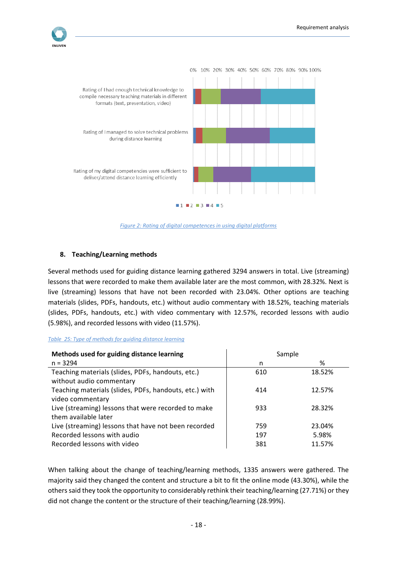

*Figure 2: Rating of digital competences in using digital platforms*

#### <span id="page-18-1"></span>**8. Teaching/Learning methods**

Several methods used for guiding distance learning gathered 3294 answers in total. Live (streaming) lessons that were recorded to make them available later are the most common, with 28.32%. Next is live (streaming) lessons that have not been recorded with 23.04%. Other options are teaching materials (slides, PDFs, handouts, etc.) without audio commentary with 18.52%, teaching materials (slides, PDFs, handouts, etc.) with video commentary with 12.57%, recorded lessons with audio (5.98%), and recorded lessons with video (11.57%).

#### <span id="page-18-0"></span>*Table 25: Type of methods for guiding distance learning*

| Methods used for guiding distance learning                                    | Sample |        |
|-------------------------------------------------------------------------------|--------|--------|
| $n = 3294$                                                                    | n      | %      |
| Teaching materials (slides, PDFs, handouts, etc.)<br>without audio commentary | 610    | 18.52% |
| Teaching materials (slides, PDFs, handouts, etc.) with<br>video commentary    | 414    | 12.57% |
| Live (streaming) lessons that were recorded to make<br>them available later   | 933    | 28.32% |
| Live (streaming) lessons that have not been recorded                          | 759    | 23.04% |
| Recorded lessons with audio                                                   | 197    | 5.98%  |
| Recorded lessons with video                                                   | 381    | 11.57% |

When talking about the change of teaching/learning methods, 1335 answers were gathered. The majority said they changed the content and structure a bit to fit the online mode (43.30%), while the others said they took the opportunity to considerably rethink their teaching/learning (27.71%) or they did not change the content or the structure of their teaching/learning (28.99%).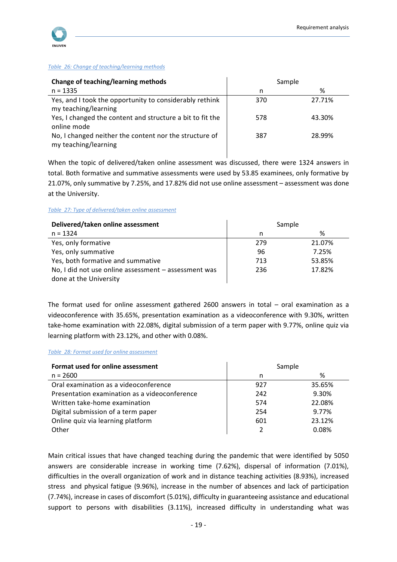

#### <span id="page-19-0"></span>*Table 26: Change of teaching/learning methods*

| Change of teaching/learning methods                                             | Sample |        |
|---------------------------------------------------------------------------------|--------|--------|
| $n = 1335$                                                                      | n      | %      |
| Yes, and I took the opportunity to considerably rethink<br>my teaching/learning | 370    | 27.71% |
| Yes, I changed the content and structure a bit to fit the<br>online mode        | 578    | 43.30% |
| No, I changed neither the content nor the structure of<br>my teaching/learning  | 387    | 28.99% |

When the topic of delivered/taken online assessment was discussed, there were 1324 answers in total. Both formative and summative assessments were used by 53.85 examinees, only formative by 21.07%, only summative by 7.25%, and 17.82% did not use online assessment – assessment was done at the University.

#### <span id="page-19-1"></span>*Table 27: Type of delivered/taken online assessment*

| Delivered/taken online assessment                    | Sample |        |
|------------------------------------------------------|--------|--------|
| $n = 1324$                                           | n      | %      |
| Yes, only formative                                  | 279    | 21.07% |
| Yes, only summative                                  | 96     | 7.25%  |
| Yes, both formative and summative                    | 713    | 53.85% |
| No, I did not use online assessment - assessment was | 236    | 17.82% |
| done at the University                               |        |        |

The format used for online assessment gathered 2600 answers in total – oral examination as a videoconference with 35.65%, presentation examination as a videoconference with 9.30%, written take-home examination with 22.08%, digital submission of a term paper with 9.77%, online quiz via learning platform with 23.12%, and other with 0.08%.

#### <span id="page-19-2"></span>*Table 28: Format used for online assessment*

| Format used for online assessment             | Sample |              |
|-----------------------------------------------|--------|--------------|
| $n = 2600$                                    | n      | %            |
| Oral examination as a videoconference         | 927    | 35.65%       |
| Presentation examination as a videoconference | 242    | 9.30%        |
| Written take-home examination                 | 574    | 22.08%       |
| Digital submission of a term paper            | 254    | 9.77%        |
| Online quiz via learning platform             | 601    | 23.12%       |
| Other                                         |        | <u>በ በጸ%</u> |

Main critical issues that have changed teaching during the pandemic that were identified by 5050 answers are considerable increase in working time (7.62%), dispersal of information (7.01%), difficulties in the overall organization of work and in distance teaching activities (8.93%), increased stress and physical fatigue (9.96%), increase in the number of absences and lack of participation (7.74%), increase in cases of discomfort (5.01%), difficulty in guaranteeing assistance and educational support to persons with disabilities (3.11%), increased difficulty in understanding what was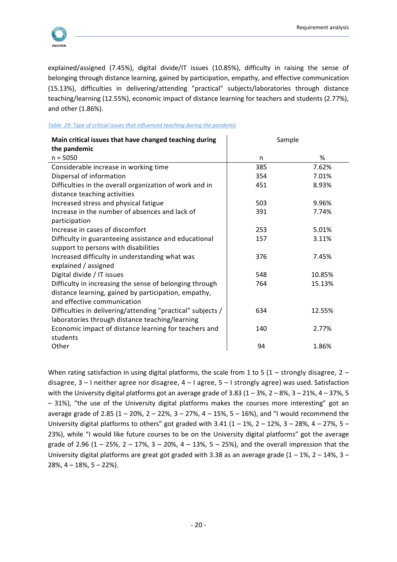

explained/assigned (7.45%), digital divide/IT issues (10.85%), difficulty in raising the sense of belonging through distance learning, gained by participation, empathy, and effective communication (15.13%), difficulties in delivering/attending "practical" subjects/laboratories through distance teaching/learning (12.55%), economic impact of distance learning for teachers and students (2.77%), and other (1.86%).

#### <span id="page-20-0"></span>*Table 29: Type of critical issues that influenced teaching during the pandemic*

| Main critical issues that have changed teaching during<br>the pandemic | Sample |        |
|------------------------------------------------------------------------|--------|--------|
| $n = 5050$                                                             | n      | %      |
| Considerable increase in working time                                  | 385    | 7.62%  |
| Dispersal of information                                               | 354    | 7.01%  |
| Difficulties in the overall organization of work and in                | 451    | 8.93%  |
| distance teaching activities                                           |        |        |
| Increased stress and physical fatigue                                  | 503    | 9.96%  |
| Increase in the number of absences and lack of                         | 391    | 7.74%  |
| participation                                                          |        |        |
| Increase in cases of discomfort                                        | 253    | 5.01%  |
| Difficulty in guaranteeing assistance and educational                  | 157    | 3.11%  |
| support to persons with disabilities                                   |        |        |
| Increased difficulty in understanding what was                         | 376    | 7.45%  |
| explained / assigned                                                   |        |        |
| Digital divide / IT issues                                             | 548    | 10.85% |
| Difficulty in increasing the sense of belonging through                | 764    | 15.13% |
| distance learning, gained by participation, empathy,                   |        |        |
| and effective communication                                            |        |        |
| Difficulties in delivering/attending "practical" subjects /            | 634    | 12.55% |
| laboratories through distance teaching/learning                        |        |        |
| Economic impact of distance learning for teachers and                  | 140    | 2.77%  |
| students                                                               |        |        |
| Other                                                                  | 94     | 1.86%  |

When rating satisfaction in using digital platforms, the scale from 1 to 5 (1 – strongly disagree, 2 – disagree, 3 – I neither agree nor disagree, 4 – I agree, 5 – I strongly agree) was used. Satisfaction with the University digital platforms got an average grade of 3.83 (1 – 3%, 2 – 8%, 3 – 21%, 4 – 37%, 5 – 31%), "the use of the University digital platforms makes the courses more interesting" got an average grade of 2.85 (1 – 20%, 2 – 22%, 3 – 27%, 4 – 15%, 5 – 16%), and "I would recommend the University digital platforms to others" got graded with  $3.41$  ( $1 - 1\%$ ,  $2 - 12\%$ ,  $3 - 28\%$ ,  $4 - 27\%$ ,  $5 -$ 23%), while "I would like future courses to be on the University digital platforms" got the average grade of 2.96 (1 – 25%, 2 – 17%, 3 – 20%, 4 – 13%, 5 – 25%), and the overall impression that the University digital platforms are great got graded with 3.38 as an average grade  $(1 - 1\%, 2 - 14\%, 3 - 14\%)$  $28\%$ ,  $4 - 18\%$ ,  $5 - 22\%$ ).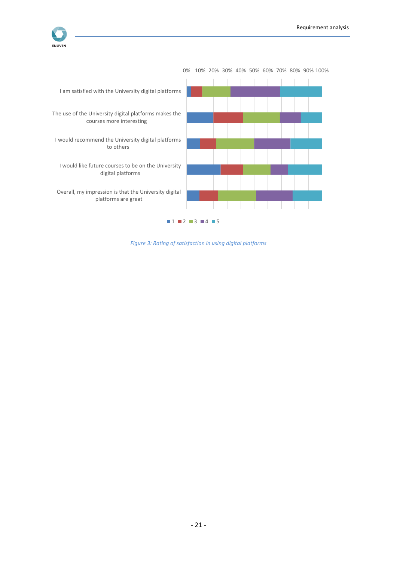



<span id="page-21-0"></span>*Figure 3: Rating of satisfaction in using digital platforms*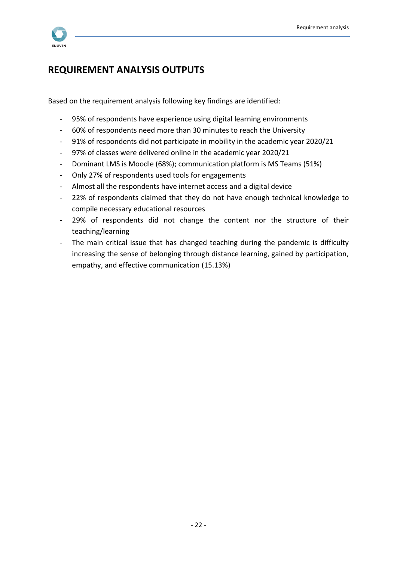

# <span id="page-22-0"></span>**REQUIREMENT ANALYSIS OUTPUTS**

Based on the requirement analysis following key findings are identified:

- 95% of respondents have experience using digital learning environments
- 60% of respondents need more than 30 minutes to reach the University
- 91% of respondents did not participate in mobility in the academic year 2020/21
- 97% of classes were delivered online in the academic year 2020/21
- Dominant LMS is Moodle (68%); communication platform is MS Teams (51%)
- Only 27% of respondents used tools for engagements
- Almost all the respondents have internet access and a digital device
- 22% of respondents claimed that they do not have enough technical knowledge to compile necessary educational resources
- 29% of respondents did not change the content nor the structure of their teaching/learning
- The main critical issue that has changed teaching during the pandemic is difficulty increasing the sense of belonging through distance learning, gained by participation, empathy, and effective communication (15.13%)